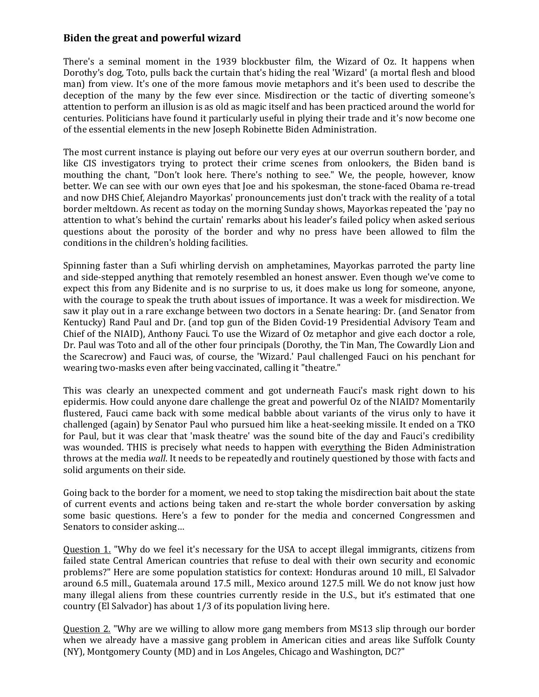## **Biden the great and powerful wizard**

There's a seminal moment in the 1939 blockbuster film, the Wizard of Oz. It happens when Dorothy's dog, Toto, pulls back the curtain that's hiding the real 'Wizard' (a mortal flesh and blood man) from view. It's one of the more famous movie metaphors and it's been used to describe the deception of the many by the few ever since. Misdirection or the tactic of diverting someone's attention to perform an illusion is as old as magic itself and has been practiced around the world for centuries. Politicians have found it particularly useful in plying their trade and it's now become one of the essential elements in the new Joseph Robinette Biden Administration.

The most current instance is playing out before our very eyes at our overrun southern border, and like CIS investigators trying to protect their crime scenes from onlookers, the Biden band is mouthing the chant, "Don't look here. There's nothing to see." We, the people, however, know better. We can see with our own eyes that Joe and his spokesman, the stone-faced Obama re-tread and now DHS Chief, Alejandro Mayorkas' pronouncements just don't track with the reality of a total border meltdown. As recent as today on the morning Sunday shows, Mayorkas repeated the 'pay no attention to what's behind the curtain' remarks about his leader's failed policy when asked serious questions about the porosity of the border and why no press have been allowed to film the conditions in the children's holding facilities.

Spinning faster than a Sufi whirling dervish on amphetamines, Mayorkas parroted the party line and side-stepped anything that remotely resembled an honest answer. Even though we've come to expect this from any Bidenite and is no surprise to us, it does make us long for someone, anyone, with the courage to speak the truth about issues of importance. It was a week for misdirection. We saw it play out in a rare exchange between two doctors in a Senate hearing: Dr. (and Senator from Kentucky) Rand Paul and Dr. (and top gun of the Biden Covid-19 Presidential Advisory Team and Chief of the NIAID), Anthony Fauci. To use the Wizard of Oz metaphor and give each doctor a role, Dr. Paul was Toto and all of the other four principals (Dorothy, the Tin Man, The Cowardly Lion and the Scarecrow) and Fauci was, of course, the 'Wizard.' Paul challenged Fauci on his penchant for wearing two-masks even after being vaccinated, calling it "theatre."

This was clearly an unexpected comment and got underneath Fauci's mask right down to his epidermis. How could anyone dare challenge the great and powerful Oz of the NIAID? Momentarily flustered, Fauci came back with some medical babble about variants of the virus only to have it challenged (again) by Senator Paul who pursued him like a heat-seeking missile. It ended on a TKO for Paul, but it was clear that 'mask theatre' was the sound bite of the day and Fauci's credibility was wounded. THIS is precisely what needs to happen with everything the Biden Administration throws at the media *wall*. It needs to be repeatedly and routinely questioned by those with facts and solid arguments on their side.

Going back to the border for a moment, we need to stop taking the misdirection bait about the state of current events and actions being taken and re-start the whole border conversation by asking some basic questions. Here's a few to ponder for the media and concerned Congressmen and Senators to consider asking…

Question 1. "Why do we feel it's necessary for the USA to accept illegal immigrants, citizens from failed state Central American countries that refuse to deal with their own security and economic problems?" Here are some population statistics for context: Honduras around 10 mill., El Salvador around 6.5 mill., Guatemala around 17.5 mill., Mexico around 127.5 mill. We do not know just how many illegal aliens from these countries currently reside in the U.S., but it's estimated that one country (El Salvador) has about 1/3 of its population living here.

Question 2. "Why are we willing to allow more gang members from MS13 slip through our border when we already have a massive gang problem in American cities and areas like Suffolk County (NY), Montgomery County (MD) and in Los Angeles, Chicago and Washington, DC?"